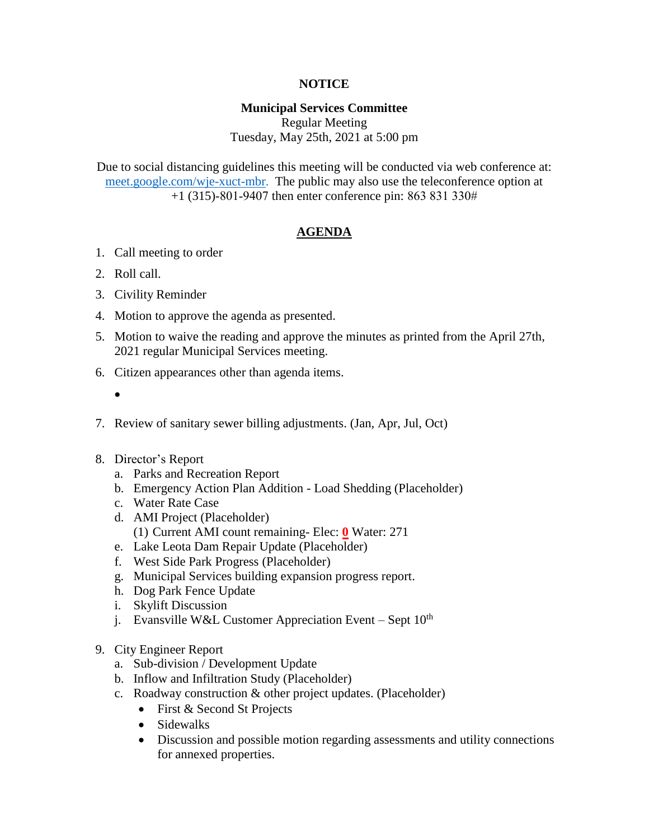# **NOTICE**

## **Municipal Services Committee**

Regular Meeting Tuesday, May 25th, 2021 at 5:00 pm

Due to social distancing guidelines this meeting will be conducted via web conference at: [meet.google.com/wje-xuct-mbr.](meet.google.com/wje-xuct-mbr) The public may also use the teleconference option at +1 (315)-801-9407 then enter conference pin: 863 831 330#

# **AGENDA**

- 1. Call meeting to order
- 2. Roll call.
- 3. Civility Reminder
- 4. Motion to approve the agenda as presented.
- 5. Motion to waive the reading and approve the minutes as printed from the April 27th, 2021 regular Municipal Services meeting.
- 6. Citizen appearances other than agenda items.
	- $\bullet$
- 7. Review of sanitary sewer billing adjustments. (Jan, Apr, Jul, Oct)
- 8. Director's Report
	- a. Parks and Recreation Report
	- b. Emergency Action Plan Addition Load Shedding (Placeholder)
	- c. Water Rate Case
	- d. AMI Project (Placeholder) (1) Current AMI count remaining- Elec: **0** Water: 271
	- e. Lake Leota Dam Repair Update (Placeholder)
	- f. West Side Park Progress (Placeholder)
	- g. Municipal Services building expansion progress report.
	- h. Dog Park Fence Update
	- i. Skylift Discussion
	- j. Evansville W&L Customer Appreciation Event Sept  $10^{th}$
- 9. City Engineer Report
	- a. Sub-division / Development Update
	- b. Inflow and Infiltration Study (Placeholder)
	- c. Roadway construction & other project updates. (Placeholder)
		- First & Second St Projects
		- Sidewalks
		- Discussion and possible motion regarding assessments and utility connections for annexed properties.